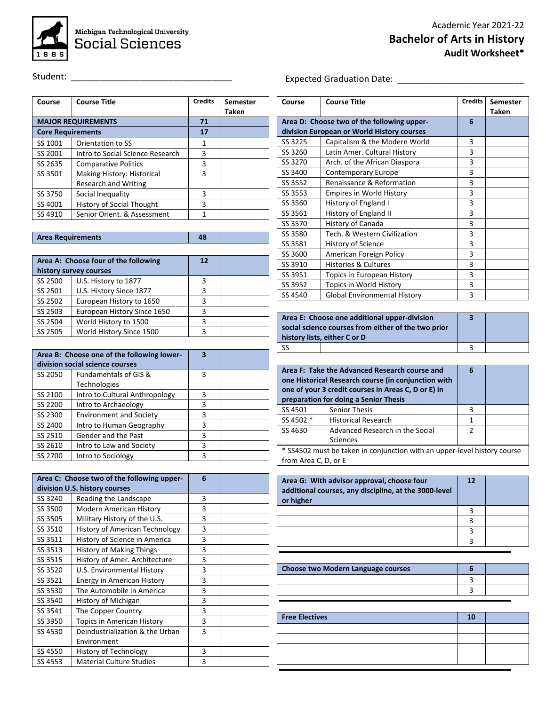

## Student: \_\_\_\_\_\_\_\_\_\_\_\_\_\_\_\_\_\_\_\_\_\_\_\_\_\_\_\_\_\_\_\_\_

| Course                   | <b>Course Title</b>              | <b>Credits</b> | <b>Semester</b><br>Taken |
|--------------------------|----------------------------------|----------------|--------------------------|
|                          | <b>MAJOR REQUIREMENTS</b>        | 71             |                          |
| <b>Core Requirements</b> |                                  | 17             |                          |
| SS 1001                  | Orientation to SS                | 1              |                          |
| SS 2001                  | Intro to Social Science Research | 3              |                          |
| SS 2635                  | <b>Comparative Politics</b>      | 3              |                          |
| SS 3501                  | Making History: Historical       | 3              |                          |
|                          | <b>Research and Writing</b>      |                |                          |
| SS 3750                  | Social Inequality                | 3              |                          |
| SS 4001                  | History of Social Thought        | 3              |                          |
| SS 4910                  | Senior Orient, & Assessment      |                |                          |

| <b>Area Requirements</b> | 48 |  |
|--------------------------|----|--|
|                          |    |  |

|         | Area A: Choose four of the following | 12 |  |
|---------|--------------------------------------|----|--|
|         | history survey courses               |    |  |
| SS 2500 | U.S. History to 1877                 | 3  |  |
| SS 2501 | U.S. History Since 1877              | ς  |  |
| SS 2502 | European History to 1650             | 3  |  |
| SS 2503 | European History Since 1650          | ર  |  |
| SS 2504 | World History to 1500                | 3  |  |
| SS 2505 | World History Since 1500             |    |  |

|         | Area B: Choose one of the following lower-<br>division social science courses | 3 |  |
|---------|-------------------------------------------------------------------------------|---|--|
| SS 2050 | <b>Fundamentals of GIS &amp;</b><br><b>Technologies</b>                       | 3 |  |
| SS 2100 | Intro to Cultural Anthropology                                                | 3 |  |
| SS 2200 | Intro to Archaeology                                                          | 3 |  |
| SS 2300 | <b>Environment and Society</b>                                                | 3 |  |
| SS 2400 | Intro to Human Geography                                                      | 3 |  |
| SS 2510 | Gender and the Past                                                           | 3 |  |
| SS 2610 | Intro to Law and Society                                                      | ς |  |
| SS 2700 | Intro to Sociology                                                            | ς |  |

|         | Area C: Choose two of the following upper- | 6 |  |
|---------|--------------------------------------------|---|--|
|         | division U.S. history courses              |   |  |
| SS 3240 | Reading the Landscape                      | 3 |  |
| SS 3500 | <b>Modern American History</b>             | 3 |  |
| SS 3505 | Military History of the U.S.               | 3 |  |
| SS 3510 | <b>History of American Technology</b>      | 3 |  |
| SS 3511 | History of Science in America              | 3 |  |
| SS 3513 | <b>History of Making Things</b>            | 3 |  |
| SS 3515 | History of Amer. Architecture              | 3 |  |
| SS 3520 | U.S. Environmental History                 | 3 |  |
| SS 3521 | Energy in American History                 | 3 |  |
| SS 3530 | The Automobile in America                  | 3 |  |
| SS 3540 | History of Michigan                        | 3 |  |
| SS 3541 | The Copper Country                         | 3 |  |
| SS 3950 | <b>Topics in American History</b>          | 3 |  |
| SS 4530 | Deindustrialization & the Urban            | 3 |  |
|         | Environment                                |   |  |
| SS 4550 | History of Technology                      | 3 |  |
| SS 4553 | <b>Material Culture Studies</b>            | 3 |  |

## Expected Graduation Date: \_\_\_\_\_\_\_\_\_\_\_\_\_\_\_\_\_\_\_\_\_\_\_\_\_\_

| Course  | <b>Course Title</b>                        | <b>Credits</b> | Semester     |
|---------|--------------------------------------------|----------------|--------------|
|         |                                            |                | <b>Taken</b> |
|         | Area D: Choose two of the following upper- | 6              |              |
|         | division European or World History courses |                |              |
| SS 3225 | Capitalism & the Modern World              | 3              |              |
| SS 3260 | Latin Amer. Cultural History               | 3              |              |
| SS 3270 | Arch. of the African Diaspora              | 3              |              |
| SS 3400 | <b>Contemporary Europe</b>                 | 3              |              |
| SS 3552 | Renaissance & Reformation                  | 3              |              |
| SS 3553 | <b>Empires in World History</b>            | 3              |              |
| SS 3560 | History of England I                       | 3              |              |
| SS 3561 | History of England II                      | 3              |              |
| SS 3570 | History of Canada                          | 3              |              |
| SS 3580 | Tech. & Western Civilization               | 3              |              |
| SS 3581 | History of Science                         | 3              |              |
| SS 3600 | American Foreign Policy                    | 3              |              |
| SS 3910 | <b>Histories &amp; Cultures</b>            | 3              |              |
| SS 3951 | Topics in European History                 | 3              |              |
| SS 3952 | Topics in World History                    | 3              |              |
| SS 4540 | <b>Global Environmental History</b>        | 3              |              |

|    | Area E: Choose one additional upper-division<br>social science courses from either of the two prior<br>history lists, either C or D |  |
|----|-------------------------------------------------------------------------------------------------------------------------------------|--|
| SS |                                                                                                                                     |  |

|                                                                          | Area F: Take the Advanced Research course and<br>one Historical Research course (in conjunction with<br>one of your 3 credit courses in Areas C, D or E) in<br>preparation for doing a Senior Thesis | 6             |  |
|--------------------------------------------------------------------------|------------------------------------------------------------------------------------------------------------------------------------------------------------------------------------------------------|---------------|--|
| SS 4501                                                                  | <b>Senior Thesis</b>                                                                                                                                                                                 | 3             |  |
| SS 4502 *                                                                | <b>Historical Research</b>                                                                                                                                                                           | 1             |  |
| SS 4630                                                                  | Advanced Research in the Social                                                                                                                                                                      | $\mathcal{P}$ |  |
|                                                                          | <b>Sciences</b>                                                                                                                                                                                      |               |  |
| * SS4502 must be taken in conjunction with an upper-level history course |                                                                                                                                                                                                      |               |  |
| from Area C, D, or E                                                     |                                                                                                                                                                                                      |               |  |

| or higher | Area G: With advisor approval, choose four<br>additional courses, any discipline, at the 3000-level | 12 |  |
|-----------|-----------------------------------------------------------------------------------------------------|----|--|
|           |                                                                                                     |    |  |
|           |                                                                                                     |    |  |
|           |                                                                                                     |    |  |
|           |                                                                                                     |    |  |

| <b>Choose two Modern Language courses</b> |  |  |
|-------------------------------------------|--|--|
|                                           |  |  |
|                                           |  |  |

| <b>Free Electives</b> |  | 10 |  |
|-----------------------|--|----|--|
|                       |  |    |  |
|                       |  |    |  |
|                       |  |    |  |
|                       |  |    |  |